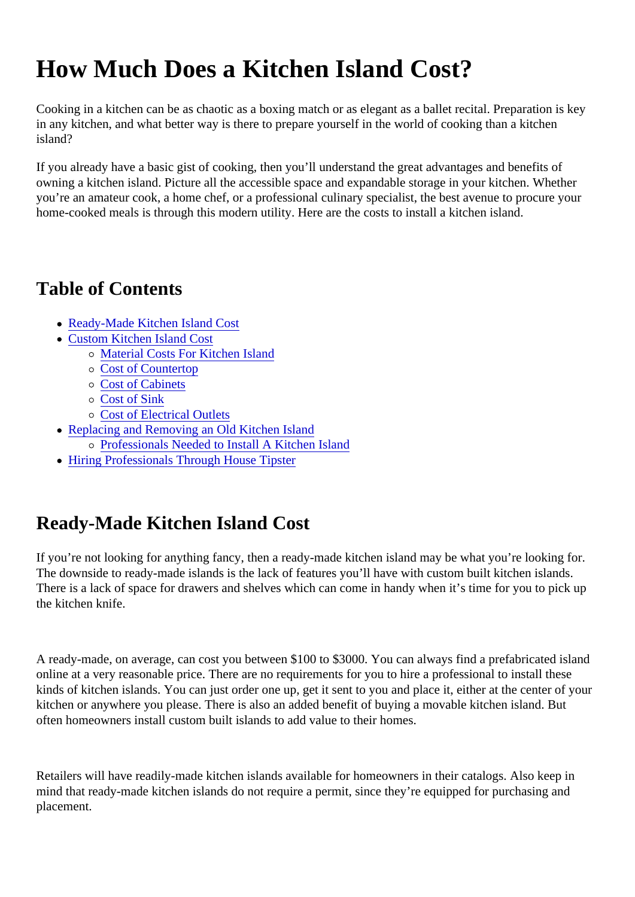# How Much Does a Kitchen Island Cost?

Cooking in a kitchen can be as chaotic as a boxing match or as elegant as a ballet recital. Preparation is k in any kitchen, and what better way is there to prepare yourself in the world of cooking than a kitchen island?

If you already have a basic gist of cooking, then you'll understand the great advantages and benefits of owning a kitchen island. Picture all the accessible space and expandable storage in your kitchen. Whether you're an amateur cook, a home chef, or a professional culinary specialist, the best avenue to procure you home-cooked meals is through this modern utility. Here are the costs to install a kitchen island.

## Table of Contents

- Ready-Made Kitchen Island Cost
- [Custom Kitchen Island Co](#page-1-0)st
	- o [Material Costs For Kitchen Isla](#page-1-0)nd
	- o [Cost of Counterto](#page-1-0)p
	- [Cost of Cabinet](#page-3-0)s
	- o [Cost of Sink](#page-4-0)
	- o [Cost of Electrical Outle](#page-4-0)ts
- Replacing and Removing an Old Kitchen Island
	- o [Professionals Needed to Install A Kitchen Isl](#page-5-0)and
- [Hiring Professionals Through House Tips](#page-6-0)ter

# Ready-Made Kitchen Island Cost

If you're not looking for anything fancy, then a ready-made kitchen island may be what you're looking for. The downside to ready-made islands is the lack of features you'll have with custom built kitchen islands. There is a lack of space for drawers and shelves which can come in handy when it's time for you to pick u the kitchen knife.

A ready-made, on average, can cost you between \$100 to \$3000. You can always find a prefabricated isla online at a very reasonable price. There are no requirements for you to hire a professional to install these kinds of kitchen islands. You can just order one up, get it sent to you and place it, either at the center of your kitchen or anywhere you please. There is also an added benefit of buying a movable kitchen island. But often homeowners install custom built islands to add value to their homes.

Retailers will have readily-made kitchen islands available for homeowners in their catalogs. Also keep in mind that ready-made kitchen islands do not require a permit, since they're equipped for purchasing and placement.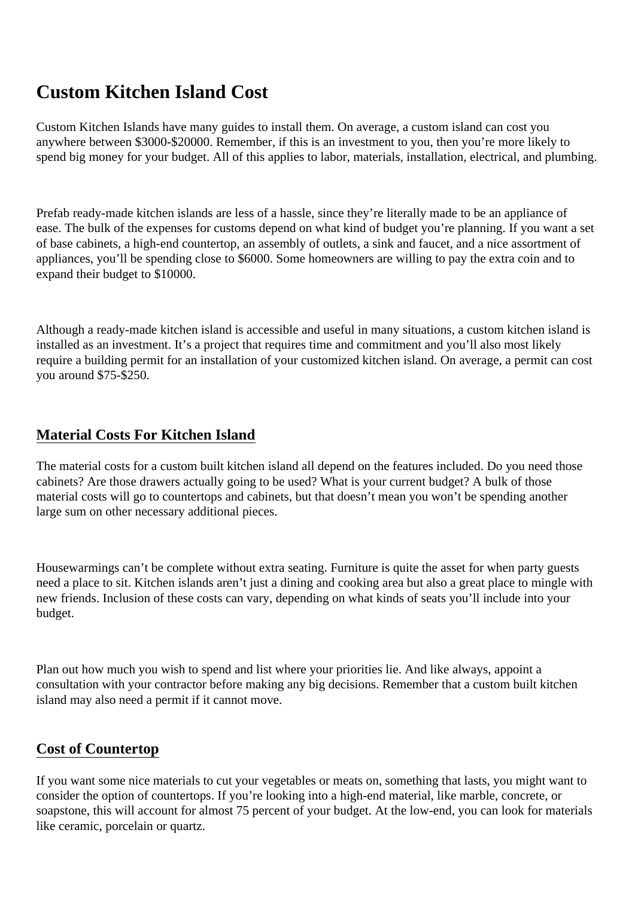## <span id="page-1-0"></span>**Custom Kitchen Island Cost**

Custom Kitchen Islands have many guides to install them. On average, a custom island can cost you anywhere between \$3000-\$20000. Remember, if this is an investment to you, then you're more likely to spend big money for your budget. All of this applies to labor, materials, installation, electrical, and plumbing.

Prefab ready-made kitchen islands are less of a hassle, since they're literally made to be an appliance of ease. The bulk of the expenses for customs depend on what kind of budget you're planning. If you want a set of base cabinets, a high-end countertop, an assembly of outlets, a sink and faucet, and a nice assortment of appliances, you'll be spending close to \$6000. Some homeowners are willing to pay the extra coin and to expand their budget to \$10000.

Although a ready-made kitchen island is accessible and useful in many situations, a custom kitchen island is installed as an investment. It's a project that requires time and commitment and you'll also most likely require a building permit for an installation of your customized kitchen island. On average, a permit can cost you around \$75-\$250.

### **Material Costs For Kitchen Island**

The material costs for a custom built kitchen island all depend on the features included. Do you need those cabinets? Are those drawers actually going to be used? What is your current budget? A bulk of those material costs will go to countertops and cabinets, but that doesn't mean you won't be spending another large sum on other necessary additional pieces.

Housewarmings can't be complete without extra seating. Furniture is quite the asset for when party guests need a place to sit. Kitchen islands aren't just a dining and cooking area but also a great place to mingle with new friends. Inclusion of these costs can vary, depending on what kinds of seats you'll include into your budget.

Plan out how much you wish to spend and list where your priorities lie. And like always, appoint a consultation with your contractor before making any big decisions. Remember that a custom built kitchen island may also need a permit if it cannot move.

#### **Cost of Countertop**

If you want some nice materials to cut your vegetables or meats on, something that lasts, you might want to consider the option of countertops. If you're looking into a high-end material, like marble, concrete, or soapstone, this will account for almost 75 percent of your budget. At the low-end, you can look for materials like ceramic, porcelain or quartz.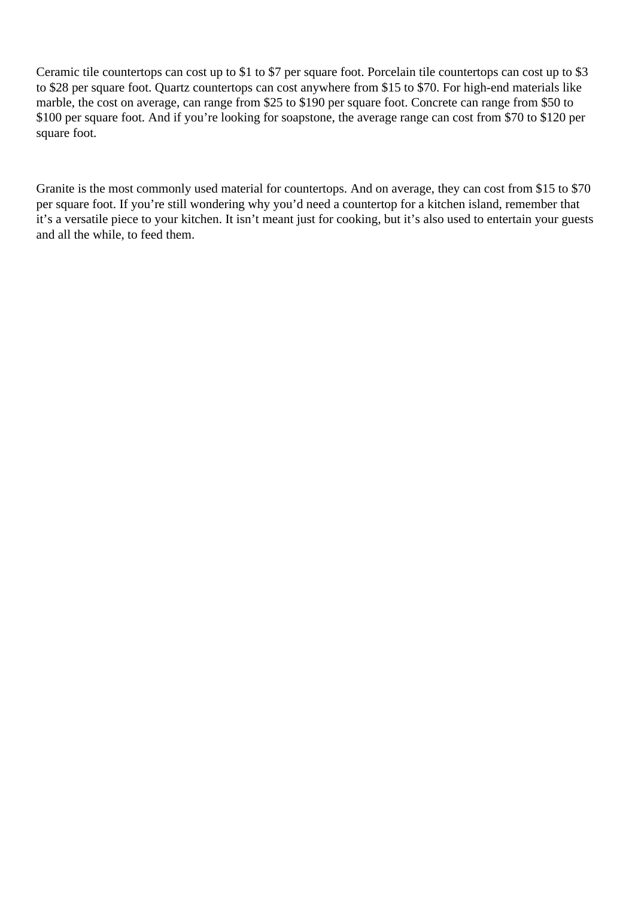Ceramic tile countertops can cost up to \$1 to \$7 per square foot. Porcelain tile countertops can cost up to \$3 to \$28 per square foot. Quartz countertops can cost anywhere from \$15 to \$70. For high-end materials like marble, the cost on average, can range from \$25 to \$190 per square foot. Concrete can range from \$50 to \$100 per square foot. And if you're looking for soapstone, the average range can cost from \$70 to \$120 per square foot.

Granite is the most commonly used material for countertops. And on average, they can cost from \$15 to \$70 per square foot. If you're still wondering why you'd need a countertop for a kitchen island, remember that it's a versatile piece to your kitchen. It isn't meant just for cooking, but it's also used to entertain your guests and all the while, to feed them.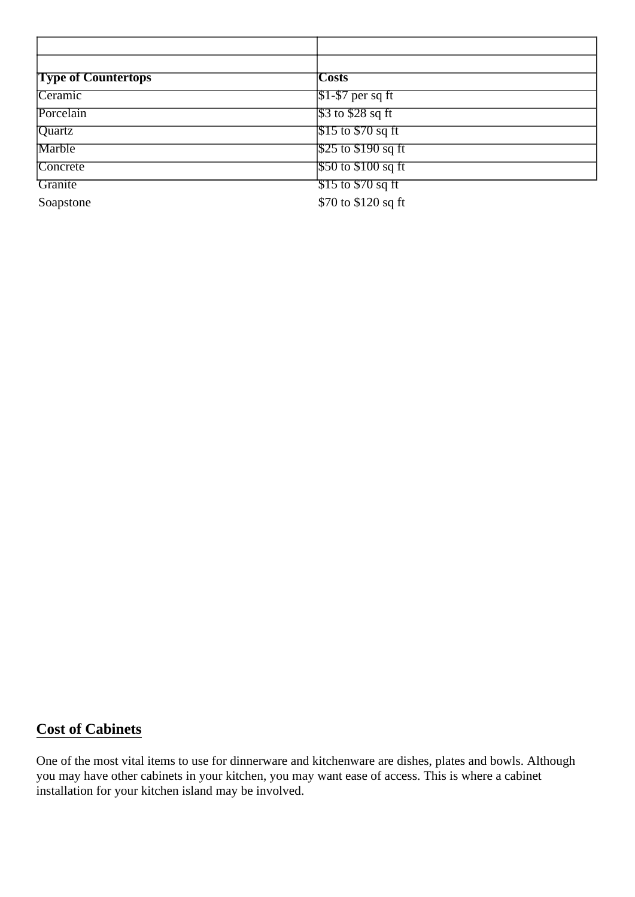<span id="page-3-0"></span>

| <b>Type of Countertops</b> | <b>Costs</b>                                                |
|----------------------------|-------------------------------------------------------------|
| Ceramic                    | $\sqrt{$1$-$}57$ per sq ft                                  |
| Porcelain                  | $\sqrt{$3$}$ to $\sqrt{$28$}$ sq ft                         |
| Quartz                     | $\frac{1}{315}$ to \$70 sq ft                               |
| Marble                     | $\frac{1}{25}$ to \$190 sq ft                               |
| Concrete                   | $\frac{550 \text{ to } $100 \text{ sq ft}}{500 \text{ ft}}$ |
| <b>Granite</b>             | $\frac{1}{2}$ 515 to \$70 sq ft                             |
| Soapstone                  | \$70 to \$120 sq ft                                         |

#### **Cost of Cabinets**

One of the most vital items to use for dinnerware and kitchenware are dishes, plates and bowls. Although you may have other cabinets in your kitchen, you may want ease of access. This is where a cabinet installation for your kitchen island may be involved.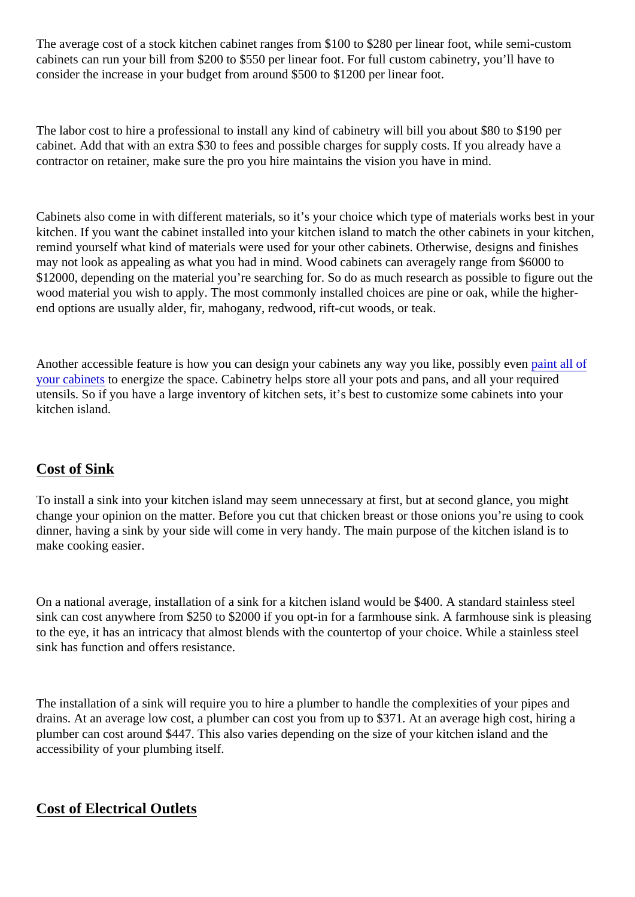<span id="page-4-0"></span>The average cost of a stock kitchen cabinet ranges from \$100 to \$280 per linear foot, while semi-custom cabinets can run your bill from \$200 to \$550 per linear foot. For full custom cabinetry, you'll have to consider the increase in your budget from around \$500 to \$1200 per linear foot.

The labor cost to hire a professional to install any kind of cabinetry will bill you about \$80 to \$190 per cabinet. Add that with an extra \$30 to fees and possible charges for supply costs. If you already have a contractor on retainer, make sure the pro you hire maintains the vision you have in mind.

Cabinets also come in with different materials, so it's your choice which type of materials works best in your kitchen. If you want the cabinet installed into your kitchen island to match the other cabinets in your kitche remind yourself what kind of materials were used for your other cabinets. Otherwise, designs and finishes may not look as appealing as what you had in mind. Wood cabinets can averagely range from \$6000 to \$12000, depending on the material you're searching for. So do as much research as possible to figure out wood material you wish to apply. The most commonly installed choices are pine or oak, while the higherend options are usually alder, fir, mahogany, redwood, rift-cut woods, or teak.

Another accessible feature is how you can design your cabinets any way you like, possibly reventof [your cabinet](https://housetipster.com/housetips/9216/how-to-know-if-you-should-paint-your-own-kitchen-cabinets)s to energize the space. Cabinetry helps store all your pots and pans, and all your required utensils. So if you have a large inventory of kitchen sets, it's best to customize some cabinets into your kitchen island.

### Cost of Sink

To install a sink into your kitchen island may seem unnecessary at first, but at second glance, you might change your opinion on the matter. Before you cut that chicken breast or those onions you're using to cook dinner, having a sink by your side will come in very handy. The main purpose of the kitchen island is to make cooking easier.

On a national average, installation of a sink for a kitchen island would be \$400. A standard stainless steel sink can cost anywhere from \$250 to \$2000 if you opt-in for a farmhouse sink. A farmhouse sink is pleasing to the eye, it has an intricacy that almost blends with the countertop of your choice. While a stainless steel sink has function and offers resistance.

The installation of a sink will require you to hire a plumber to handle the complexities of your pipes and drains. At an average low cost, a plumber can cost you from up to \$371. At an average high cost, hiring a plumber can cost around \$447. This also varies depending on the size of your kitchen island and the accessibility of your plumbing itself.

### Cost of Electrical Outlets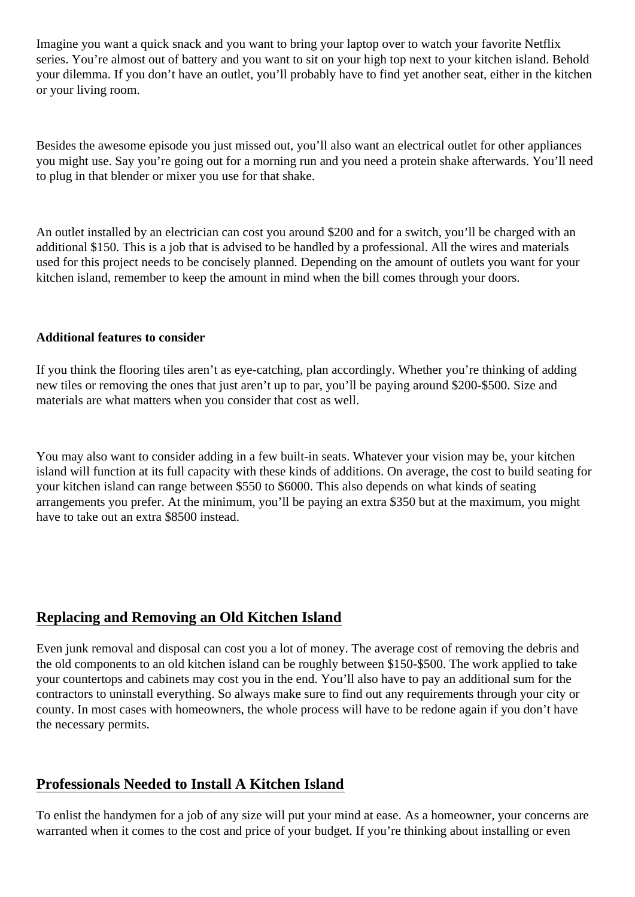<span id="page-5-0"></span>Imagine you want a quick snack and you want to bring your laptop over to watch your favorite Netflix series. You're almost out of battery and you want to sit on your high top next to your kitchen island. Behold your dilemma. If you don't have an outlet, you'll probably have to find yet another seat, either in the kitchen or your living room.

Besides the awesome episode you just missed out, you'll also want an electrical outlet for other appliances you might use. Say you're going out for a morning run and you need a protein shake afterwards. You'll need to plug in that blender or mixer you use for that shake.

An outlet installed by an electrician can cost you around \$200 and for a switch, you'll be charged with an additional \$150. This is a job that is advised to be handled by a professional. All the wires and materials used for this project needs to be concisely planned. Depending on the amount of outlets you want for your kitchen island, remember to keep the amount in mind when the bill comes through your doors.

#### **Additional features to consider**

If you think the flooring tiles aren't as eye-catching, plan accordingly. Whether you're thinking of adding new tiles or removing the ones that just aren't up to par, you'll be paying around \$200-\$500. Size and materials are what matters when you consider that cost as well.

You may also want to consider adding in a few built-in seats. Whatever your vision may be, your kitchen island will function at its full capacity with these kinds of additions. On average, the cost to build seating for your kitchen island can range between \$550 to \$6000. This also depends on what kinds of seating arrangements you prefer. At the minimum, you'll be paying an extra \$350 but at the maximum, you might have to take out an extra \$8500 instead.

#### **Replacing and Removing an Old Kitchen Island**

Even junk removal and disposal can cost you a lot of money. The average cost of removing the debris and the old components to an old kitchen island can be roughly between \$150-\$500. The work applied to take your countertops and cabinets may cost you in the end. You'll also have to pay an additional sum for the contractors to uninstall everything. So always make sure to find out any requirements through your city or county. In most cases with homeowners, the whole process will have to be redone again if you don't have the necessary permits.

#### **Professionals Needed to Install A Kitchen Island**

To enlist the handymen for a job of any size will put your mind at ease. As a homeowner, your concerns are warranted when it comes to the cost and price of your budget. If you're thinking about installing or even